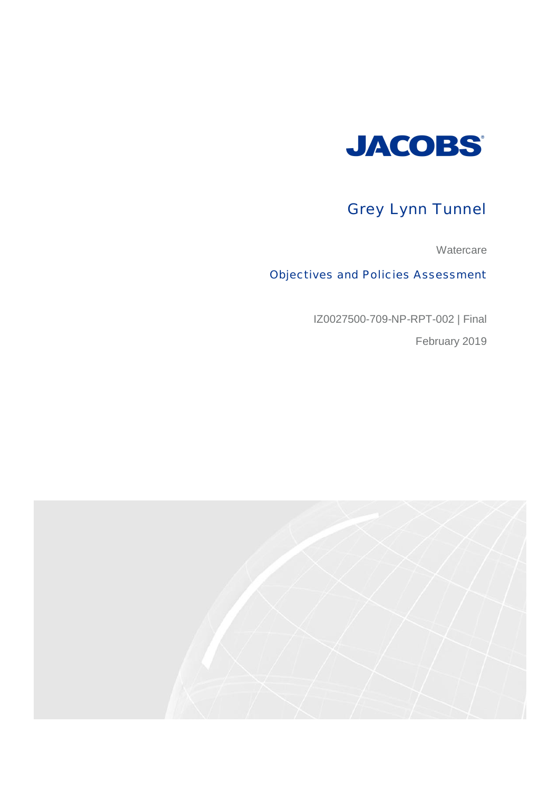

# Grey Lynn Tunnel

**Watercare** 

Objectives and Policies Assessment

IZ0027500-709-NP-RPT-002 | Final

February 2019

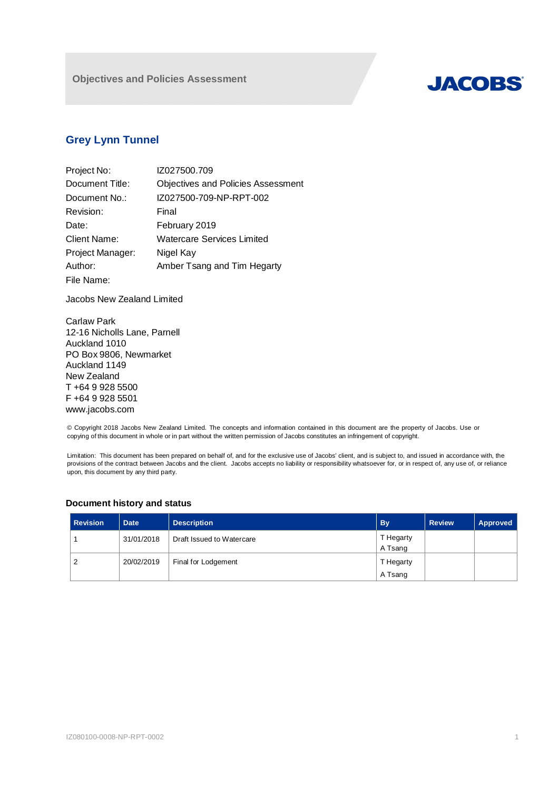

# **Grey Lynn Tunnel**

| Project No:      | IZ027500.709                              |
|------------------|-------------------------------------------|
| Document Title:  | <b>Objectives and Policies Assessment</b> |
| Document No.:    | IZ027500-709-NP-RPT-002                   |
| Revision:        | Final                                     |
| Date:            | February 2019                             |
| Client Name:     | Watercare Services Limited                |
| Project Manager: | Nigel Kay                                 |
| Author:          | Amber Tsang and Tim Hegarty               |
| File Name:       |                                           |

Jacobs New Zealand Limited

Carlaw Park 12-16 Nicholls Lane, Parnell Auckland 1010 PO Box 9806, Newmarket Auckland 1149 New Zealand T +64 9 928 5500 F +64 9 928 5501 www.jacobs.com

© Copyright 2018 Jacobs New Zealand Limited. The concepts and information contained in this document are the property of Jacobs. Use or copying of this document in whole or in part without the written permission of Jacobs constitutes an infringement of copyright.

Limitation: This document has been prepared on behalf of, and for the exclusive use of Jacobs' client, and is subject to, and issued in accordance with, the provisions of the contract between Jacobs and the client. Jacobs accepts no liability or responsibility whatsoever for, or in respect of, any use of, or reliance upon, this document by any third party.

| <b>Revision</b> | <b>Date</b> | <b>Description</b>        | <b>By</b> | <b>Review</b> | Approved |
|-----------------|-------------|---------------------------|-----------|---------------|----------|
|                 | 31/01/2018  | Draft Issued to Watercare | T Hegarty |               |          |
|                 |             |                           | A Tsang   |               |          |
| $\overline{2}$  | 20/02/2019  | Final for Lodgement       | T Hegarty |               |          |
|                 |             |                           | A Tsang   |               |          |

## **Document history and status**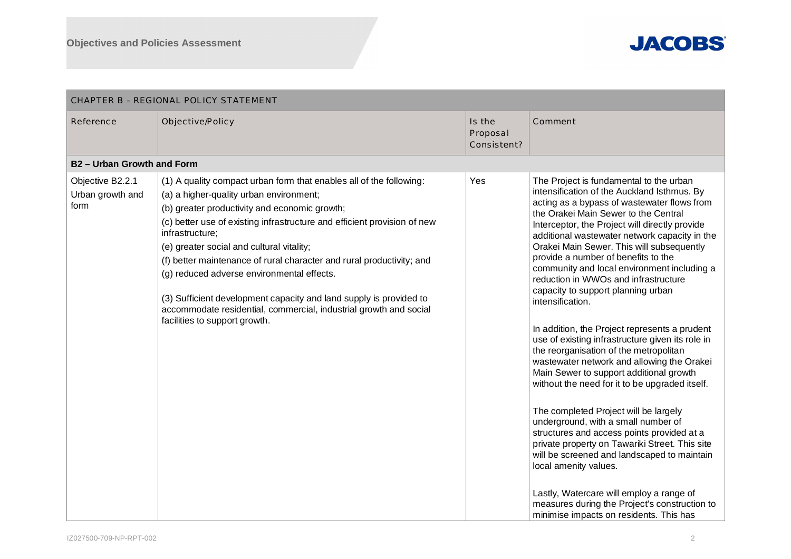

| <b>CHAPTER B - REGIONAL POLICY STATEMENT</b> |                                                                                                                                                                                                                                                                                                                                                                                                                                                                                                                                                                                                                |                                   |                                                                                                                                                                                                                                                                                                                                                                                                                                                                                                                                                                                                                                                                                                                                                                                                                                                                                                                                                                                                                                                                                                                                                                                                                 |  |  |
|----------------------------------------------|----------------------------------------------------------------------------------------------------------------------------------------------------------------------------------------------------------------------------------------------------------------------------------------------------------------------------------------------------------------------------------------------------------------------------------------------------------------------------------------------------------------------------------------------------------------------------------------------------------------|-----------------------------------|-----------------------------------------------------------------------------------------------------------------------------------------------------------------------------------------------------------------------------------------------------------------------------------------------------------------------------------------------------------------------------------------------------------------------------------------------------------------------------------------------------------------------------------------------------------------------------------------------------------------------------------------------------------------------------------------------------------------------------------------------------------------------------------------------------------------------------------------------------------------------------------------------------------------------------------------------------------------------------------------------------------------------------------------------------------------------------------------------------------------------------------------------------------------------------------------------------------------|--|--|
| Reference                                    | Objective/Policy                                                                                                                                                                                                                                                                                                                                                                                                                                                                                                                                                                                               | Is the<br>Proposal<br>Consistent? | Comment                                                                                                                                                                                                                                                                                                                                                                                                                                                                                                                                                                                                                                                                                                                                                                                                                                                                                                                                                                                                                                                                                                                                                                                                         |  |  |
| <b>B2- Urban Growth and Form</b>             |                                                                                                                                                                                                                                                                                                                                                                                                                                                                                                                                                                                                                |                                   |                                                                                                                                                                                                                                                                                                                                                                                                                                                                                                                                                                                                                                                                                                                                                                                                                                                                                                                                                                                                                                                                                                                                                                                                                 |  |  |
| Objective B2.2.1<br>Urban growth and<br>form | (1) A quality compact urban form that enables all of the following:<br>(a) a higher-quality urban environment;<br>(b) greater productivity and economic growth;<br>(c) better use of existing infrastructure and efficient provision of new<br>infrastructure;<br>(e) greater social and cultural vitality;<br>(f) better maintenance of rural character and rural productivity; and<br>(g) reduced adverse environmental effects.<br>(3) Sufficient development capacity and land supply is provided to<br>accommodate residential, commercial, industrial growth and social<br>facilities to support growth. | Yes                               | The Project is fundamental to the urban<br>intensification of the Auckland Isthmus. By<br>acting as a bypass of wastewater flows from<br>the Orakei Main Sewer to the Central<br>Interceptor, the Project will directly provide<br>additional wastewater network capacity in the<br>Orakei Main Sewer. This will subsequently<br>provide a number of benefits to the<br>community and local environment including a<br>reduction in WWOs and infrastructure<br>capacity to support planning urban<br>intensification.<br>In addition, the Project represents a prudent<br>use of existing infrastructure given its role in<br>the reorganisation of the metropolitan<br>wastewater network and allowing the Orakei<br>Main Sewer to support additional growth<br>without the need for it to be upgraded itself.<br>The completed Project will be largely<br>underground, with a small number of<br>structures and access points provided at a<br>private property on Tawariki Street. This site<br>will be screened and landscaped to maintain<br>local amenity values.<br>Lastly, Watercare will employ a range of<br>measures during the Project's construction to<br>minimise impacts on residents. This has |  |  |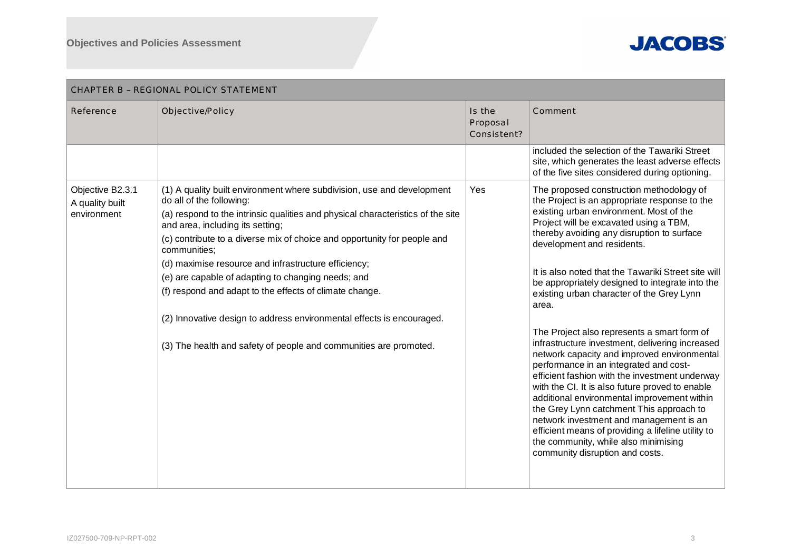

| CHAPTER B - REGIONAL POLICY STATEMENT              |                                                                                                                                                                                                                                                                                                                                                                                                                                                                                                                                                                                                                                              |                                   |                                                                                                                                                                                                                                                                                                                                                                                                                                                                                                                                                                                                                                                                                                                                                                                                                                                                                                                                                                                                   |  |  |
|----------------------------------------------------|----------------------------------------------------------------------------------------------------------------------------------------------------------------------------------------------------------------------------------------------------------------------------------------------------------------------------------------------------------------------------------------------------------------------------------------------------------------------------------------------------------------------------------------------------------------------------------------------------------------------------------------------|-----------------------------------|---------------------------------------------------------------------------------------------------------------------------------------------------------------------------------------------------------------------------------------------------------------------------------------------------------------------------------------------------------------------------------------------------------------------------------------------------------------------------------------------------------------------------------------------------------------------------------------------------------------------------------------------------------------------------------------------------------------------------------------------------------------------------------------------------------------------------------------------------------------------------------------------------------------------------------------------------------------------------------------------------|--|--|
| Reference                                          | Objective/Policy                                                                                                                                                                                                                                                                                                                                                                                                                                                                                                                                                                                                                             | Is the<br>Proposal<br>Consistent? | Comment                                                                                                                                                                                                                                                                                                                                                                                                                                                                                                                                                                                                                                                                                                                                                                                                                                                                                                                                                                                           |  |  |
|                                                    |                                                                                                                                                                                                                                                                                                                                                                                                                                                                                                                                                                                                                                              |                                   | included the selection of the Tawariki Street<br>site, which generates the least adverse effects<br>of the five sites considered during optioning.                                                                                                                                                                                                                                                                                                                                                                                                                                                                                                                                                                                                                                                                                                                                                                                                                                                |  |  |
| Objective B2.3.1<br>A quality built<br>environment | (1) A quality built environment where subdivision, use and development<br>do all of the following:<br>(a) respond to the intrinsic qualities and physical characteristics of the site<br>and area, including its setting;<br>(c) contribute to a diverse mix of choice and opportunity for people and<br>communities:<br>(d) maximise resource and infrastructure efficiency;<br>(e) are capable of adapting to changing needs; and<br>(f) respond and adapt to the effects of climate change.<br>(2) Innovative design to address environmental effects is encouraged.<br>(3) The health and safety of people and communities are promoted. | Yes                               | The proposed construction methodology of<br>the Project is an appropriate response to the<br>existing urban environment. Most of the<br>Project will be excavated using a TBM,<br>thereby avoiding any disruption to surface<br>development and residents.<br>It is also noted that the Tawariki Street site will<br>be appropriately designed to integrate into the<br>existing urban character of the Grey Lynn<br>area.<br>The Project also represents a smart form of<br>infrastructure investment, delivering increased<br>network capacity and improved environmental<br>performance in an integrated and cost-<br>efficient fashion with the investment underway<br>with the CI. It is also future proved to enable<br>additional environmental improvement within<br>the Grey Lynn catchment This approach to<br>network investment and management is an<br>efficient means of providing a lifeline utility to<br>the community, while also minimising<br>community disruption and costs. |  |  |

### IZ027500-709-NP-RPT-002 3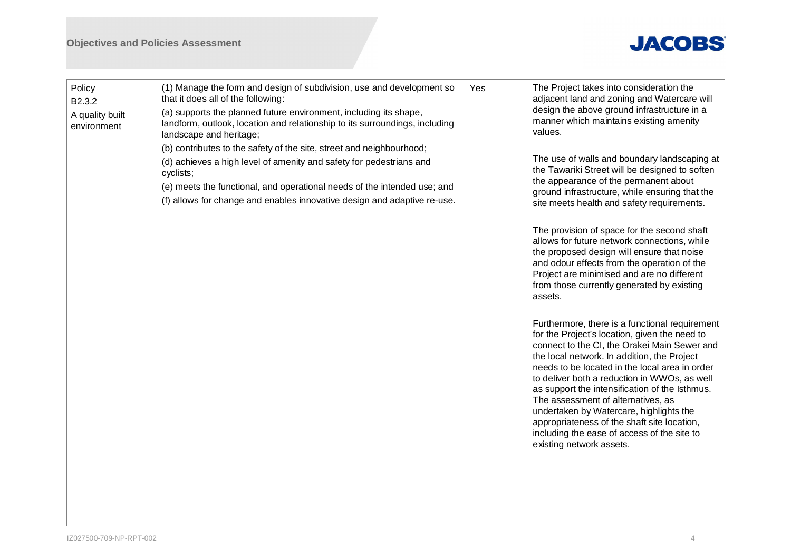# **JACOBS®**

| Policy<br>B2.3.2<br>A quality built<br>environment | (1) Manage the form and design of subdivision, use and development so<br>that it does all of the following:<br>(a) supports the planned future environment, including its shape,<br>landform, outlook, location and relationship to its surroundings, including<br>landscape and heritage;<br>(b) contributes to the safety of the site, street and neighbourhood;<br>(d) achieves a high level of amenity and safety for pedestrians and<br>cyclists;<br>(e) meets the functional, and operational needs of the intended use; and<br>(f) allows for change and enables innovative design and adaptive re-use. | Yes | The Project takes into consideration the<br>adjacent land and zoning and Watercare will<br>design the above ground infrastructure in a<br>manner which maintains existing amenity<br>values.<br>The use of walls and boundary landscaping at<br>the Tawariki Street will be designed to soften<br>the appearance of the permanent about<br>ground infrastructure, while ensuring that the<br>site meets health and safety requirements.                                                                                                                       |
|----------------------------------------------------|----------------------------------------------------------------------------------------------------------------------------------------------------------------------------------------------------------------------------------------------------------------------------------------------------------------------------------------------------------------------------------------------------------------------------------------------------------------------------------------------------------------------------------------------------------------------------------------------------------------|-----|---------------------------------------------------------------------------------------------------------------------------------------------------------------------------------------------------------------------------------------------------------------------------------------------------------------------------------------------------------------------------------------------------------------------------------------------------------------------------------------------------------------------------------------------------------------|
|                                                    |                                                                                                                                                                                                                                                                                                                                                                                                                                                                                                                                                                                                                |     | The provision of space for the second shaft<br>allows for future network connections, while<br>the proposed design will ensure that noise<br>and odour effects from the operation of the<br>Project are minimised and are no different<br>from those currently generated by existing<br>assets.                                                                                                                                                                                                                                                               |
|                                                    |                                                                                                                                                                                                                                                                                                                                                                                                                                                                                                                                                                                                                |     | Furthermore, there is a functional requirement<br>for the Project's location, given the need to<br>connect to the CI, the Orakei Main Sewer and<br>the local network. In addition, the Project<br>needs to be located in the local area in order<br>to deliver both a reduction in WWOs, as well<br>as support the intensification of the Isthmus.<br>The assessment of alternatives, as<br>undertaken by Watercare, highlights the<br>appropriateness of the shaft site location,<br>including the ease of access of the site to<br>existing network assets. |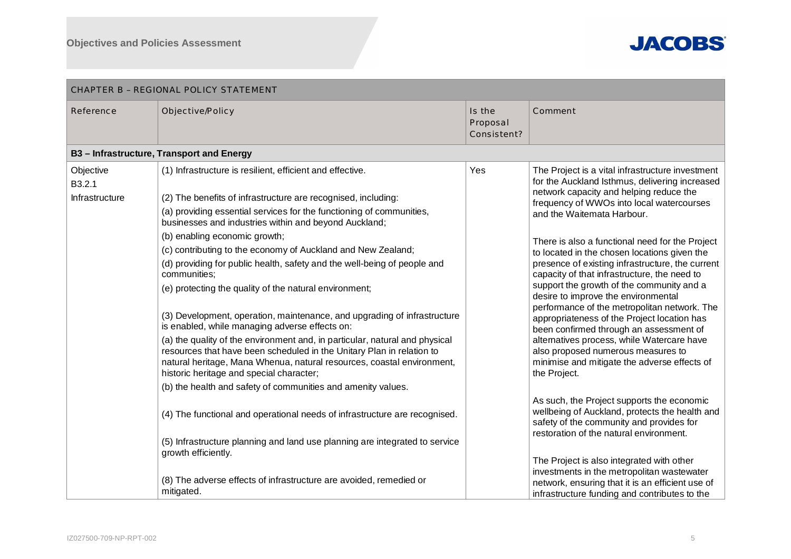

| CHAPTER B - REGIONAL POLICY STATEMENT |                                                                                                                                                                                                                                                                                                                                                                                                                                                                                                                                                                                                                                                                                                                                                                                                                                                                                                                                                                                                                                                                                                                                                                                                                                                                        |                                   |                                                                                                                                                                                                                                                                                                                                                                                                                                                                                                                                                                                                                                                                                                                                                                                                                                                                                                                                                                                                                                                                                                                                                                                                          |  |  |
|---------------------------------------|------------------------------------------------------------------------------------------------------------------------------------------------------------------------------------------------------------------------------------------------------------------------------------------------------------------------------------------------------------------------------------------------------------------------------------------------------------------------------------------------------------------------------------------------------------------------------------------------------------------------------------------------------------------------------------------------------------------------------------------------------------------------------------------------------------------------------------------------------------------------------------------------------------------------------------------------------------------------------------------------------------------------------------------------------------------------------------------------------------------------------------------------------------------------------------------------------------------------------------------------------------------------|-----------------------------------|----------------------------------------------------------------------------------------------------------------------------------------------------------------------------------------------------------------------------------------------------------------------------------------------------------------------------------------------------------------------------------------------------------------------------------------------------------------------------------------------------------------------------------------------------------------------------------------------------------------------------------------------------------------------------------------------------------------------------------------------------------------------------------------------------------------------------------------------------------------------------------------------------------------------------------------------------------------------------------------------------------------------------------------------------------------------------------------------------------------------------------------------------------------------------------------------------------|--|--|
| Reference                             | Objective/Policy                                                                                                                                                                                                                                                                                                                                                                                                                                                                                                                                                                                                                                                                                                                                                                                                                                                                                                                                                                                                                                                                                                                                                                                                                                                       | Is the<br>Proposal<br>Consistent? | Comment                                                                                                                                                                                                                                                                                                                                                                                                                                                                                                                                                                                                                                                                                                                                                                                                                                                                                                                                                                                                                                                                                                                                                                                                  |  |  |
|                                       | B3-Infrastructure, Transport and Energy                                                                                                                                                                                                                                                                                                                                                                                                                                                                                                                                                                                                                                                                                                                                                                                                                                                                                                                                                                                                                                                                                                                                                                                                                                |                                   |                                                                                                                                                                                                                                                                                                                                                                                                                                                                                                                                                                                                                                                                                                                                                                                                                                                                                                                                                                                                                                                                                                                                                                                                          |  |  |
| Objective<br>B3.2.1<br>Infrastructure | (1) Infrastructure is resilient, efficient and effective.<br>(2) The benefits of infrastructure are recognised, including:<br>(a) providing essential services for the functioning of communities,<br>businesses and industries within and beyond Auckland;<br>(b) enabling economic growth;<br>(c) contributing to the economy of Auckland and New Zealand;<br>(d) providing for public health, safety and the well-being of people and<br>communities;<br>(e) protecting the quality of the natural environment;<br>(3) Development, operation, maintenance, and upgrading of infrastructure<br>is enabled, while managing adverse effects on:<br>(a) the quality of the environment and, in particular, natural and physical<br>resources that have been scheduled in the Unitary Plan in relation to<br>natural heritage, Mana Whenua, natural resources, coastal environment,<br>historic heritage and special character;<br>(b) the health and safety of communities and amenity values.<br>(4) The functional and operational needs of infrastructure are recognised.<br>(5) Infrastructure planning and land use planning are integrated to service<br>growth efficiently.<br>(8) The adverse effects of infrastructure are avoided, remedied or<br>mitigated. | Yes                               | The Project is a vital infrastructure investment<br>for the Auckland Isthmus, delivering increased<br>network capacity and helping reduce the<br>frequency of WWOs into local watercourses<br>and the Waitemata Harbour.<br>There is also a functional need for the Project<br>to located in the chosen locations given the<br>presence of existing infrastructure, the current<br>capacity of that infrastructure, the need to<br>support the growth of the community and a<br>desire to improve the environmental<br>performance of the metropolitan network. The<br>appropriateness of the Project location has<br>been confirmed through an assessment of<br>alternatives process, while Watercare have<br>also proposed numerous measures to<br>minimise and mitigate the adverse effects of<br>the Project.<br>As such, the Project supports the economic<br>wellbeing of Auckland, protects the health and<br>safety of the community and provides for<br>restoration of the natural environment.<br>The Project is also integrated with other<br>investments in the metropolitan wastewater<br>network, ensuring that it is an efficient use of<br>infrastructure funding and contributes to the |  |  |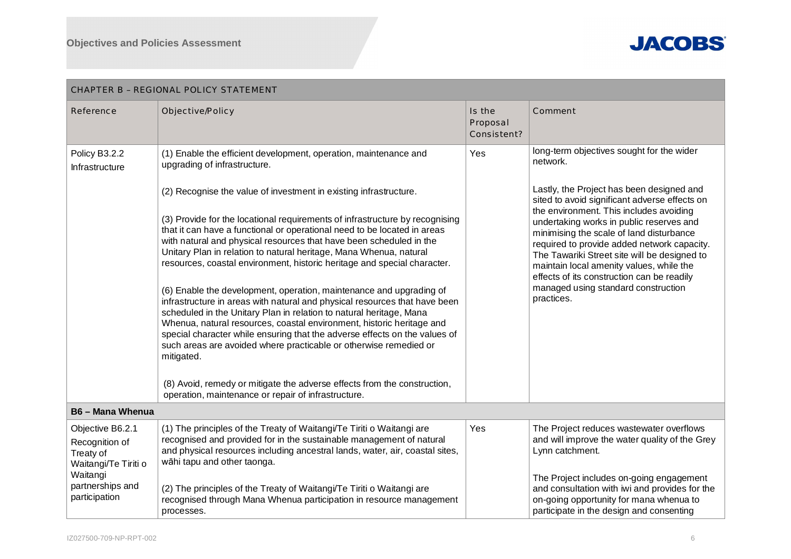

| <b>CHAPTER B - REGIONAL POLICY STATEMENT</b>                                                                             |                                                                                                                                                                                                                                                                                                                                                                                                                                                                                                                                                                                                                                                                                                                                                                                                                                                                                                                                                                                                                                                                                                                                                                     |                                   |                                                                                                                                                                                                                                                                                                                                                                                                                                                                                                                                      |  |  |
|--------------------------------------------------------------------------------------------------------------------------|---------------------------------------------------------------------------------------------------------------------------------------------------------------------------------------------------------------------------------------------------------------------------------------------------------------------------------------------------------------------------------------------------------------------------------------------------------------------------------------------------------------------------------------------------------------------------------------------------------------------------------------------------------------------------------------------------------------------------------------------------------------------------------------------------------------------------------------------------------------------------------------------------------------------------------------------------------------------------------------------------------------------------------------------------------------------------------------------------------------------------------------------------------------------|-----------------------------------|--------------------------------------------------------------------------------------------------------------------------------------------------------------------------------------------------------------------------------------------------------------------------------------------------------------------------------------------------------------------------------------------------------------------------------------------------------------------------------------------------------------------------------------|--|--|
| Reference                                                                                                                | Objective/Policy                                                                                                                                                                                                                                                                                                                                                                                                                                                                                                                                                                                                                                                                                                                                                                                                                                                                                                                                                                                                                                                                                                                                                    | Is the<br>Proposal<br>Consistent? | Comment                                                                                                                                                                                                                                                                                                                                                                                                                                                                                                                              |  |  |
| Policy B3.2.2<br>Infrastructure                                                                                          | (1) Enable the efficient development, operation, maintenance and<br>upgrading of infrastructure.<br>(2) Recognise the value of investment in existing infrastructure.<br>(3) Provide for the locational requirements of infrastructure by recognising<br>that it can have a functional or operational need to be located in areas<br>with natural and physical resources that have been scheduled in the<br>Unitary Plan in relation to natural heritage, Mana Whenua, natural<br>resources, coastal environment, historic heritage and special character.<br>(6) Enable the development, operation, maintenance and upgrading of<br>infrastructure in areas with natural and physical resources that have been<br>scheduled in the Unitary Plan in relation to natural heritage, Mana<br>Whenua, natural resources, coastal environment, historic heritage and<br>special character while ensuring that the adverse effects on the values of<br>such areas are avoided where practicable or otherwise remedied or<br>mitigated.<br>(8) Avoid, remedy or mitigate the adverse effects from the construction,<br>operation, maintenance or repair of infrastructure. | Yes                               | long-term objectives sought for the wider<br>network.<br>Lastly, the Project has been designed and<br>sited to avoid significant adverse effects on<br>the environment. This includes avoiding<br>undertaking works in public reserves and<br>minimising the scale of land disturbance<br>required to provide added network capacity.<br>The Tawariki Street site will be designed to<br>maintain local amenity values, while the<br>effects of its construction can be readily<br>managed using standard construction<br>practices. |  |  |
| <b>B6-Mana Whenua</b>                                                                                                    |                                                                                                                                                                                                                                                                                                                                                                                                                                                                                                                                                                                                                                                                                                                                                                                                                                                                                                                                                                                                                                                                                                                                                                     |                                   |                                                                                                                                                                                                                                                                                                                                                                                                                                                                                                                                      |  |  |
| Objective B6.2.1<br>Recognition of<br>Treaty of<br>Waitangi/Te Tiriti o<br>Waitangi<br>partnerships and<br>participation | (1) The principles of the Treaty of Waitangi/Te Tiriti o Waitangi are<br>recognised and provided for in the sustainable management of natural<br>and physical resources including ancestral lands, water, air, coastal sites,<br>wāhi tapu and other taonga.<br>(2) The principles of the Treaty of Waitangi/Te Tiriti o Waitangi are<br>recognised through Mana Whenua participation in resource management<br>processes.                                                                                                                                                                                                                                                                                                                                                                                                                                                                                                                                                                                                                                                                                                                                          | Yes                               | The Project reduces wastewater overflows<br>and will improve the water quality of the Grey<br>Lynn catchment.<br>The Project includes on-going engagement<br>and consultation with iwi and provides for the<br>on-going opportunity for mana whenua to<br>participate in the design and consenting                                                                                                                                                                                                                                   |  |  |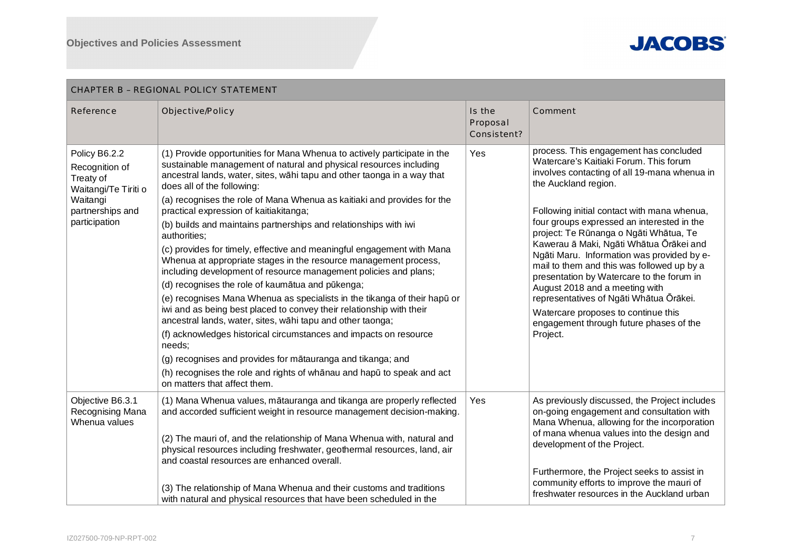

| CHAPTER B - REGIONAL POLICY STATEMENT                                                                                 |                                                                                                                                                                                                                                                                                                                                                                                                                                                                                                                                                                                                                                                                                                                                                                                                                                                                                                                                                                                                                                                                                                                                                                                                                   |                                   |                                                                                                                                                                                                                                                                                                                                                                                                                                                                                                                                                                                                                                                                |  |  |
|-----------------------------------------------------------------------------------------------------------------------|-------------------------------------------------------------------------------------------------------------------------------------------------------------------------------------------------------------------------------------------------------------------------------------------------------------------------------------------------------------------------------------------------------------------------------------------------------------------------------------------------------------------------------------------------------------------------------------------------------------------------------------------------------------------------------------------------------------------------------------------------------------------------------------------------------------------------------------------------------------------------------------------------------------------------------------------------------------------------------------------------------------------------------------------------------------------------------------------------------------------------------------------------------------------------------------------------------------------|-----------------------------------|----------------------------------------------------------------------------------------------------------------------------------------------------------------------------------------------------------------------------------------------------------------------------------------------------------------------------------------------------------------------------------------------------------------------------------------------------------------------------------------------------------------------------------------------------------------------------------------------------------------------------------------------------------------|--|--|
| Reference                                                                                                             | Objective/Policy                                                                                                                                                                                                                                                                                                                                                                                                                                                                                                                                                                                                                                                                                                                                                                                                                                                                                                                                                                                                                                                                                                                                                                                                  | Is the<br>Proposal<br>Consistent? | Comment                                                                                                                                                                                                                                                                                                                                                                                                                                                                                                                                                                                                                                                        |  |  |
| Policy B6.2.2<br>Recognition of<br>Treaty of<br>Waitangi/Te Tiriti o<br>Waitangi<br>partnerships and<br>participation | (1) Provide opportunities for Mana Whenua to actively participate in the<br>sustainable management of natural and physical resources including<br>ancestral lands, water, sites, wāhi tapu and other taonga in a way that<br>does all of the following:<br>(a) recognises the role of Mana Whenua as kaitiaki and provides for the<br>practical expression of kaitiakitanga;<br>(b) builds and maintains partnerships and relationships with iwi<br>authorities;<br>(c) provides for timely, effective and meaningful engagement with Mana<br>Whenua at appropriate stages in the resource management process,<br>including development of resource management policies and plans;<br>(d) recognises the role of kaumātua and pūkenga;<br>(e) recognises Mana Whenua as specialists in the tikanga of their hapū or<br>iwi and as being best placed to convey their relationship with their<br>ancestral lands, water, sites, wāhi tapu and other taonga;<br>(f) acknowledges historical circumstances and impacts on resource<br>needs;<br>(g) recognises and provides for mātauranga and tikanga; and<br>(h) recognises the role and rights of whanau and hapu to speak and act<br>on matters that affect them. | Yes                               | process. This engagement has concluded<br>Watercare's Kaitiaki Forum. This forum<br>involves contacting of all 19-mana whenua in<br>the Auckland region.<br>Following initial contact with mana whenua,<br>four groups expressed an interested in the<br>project: Te Rūnanga o Ngāti Whātua, Te<br>Kawerau ā Maki, Ngāti Whātua Ōrākei and<br>Ngāti Maru. Information was provided by e-<br>mail to them and this was followed up by a<br>presentation by Watercare to the forum in<br>August 2018 and a meeting with<br>representatives of Ngāti Whātua Ōrākei.<br>Watercare proposes to continue this<br>engagement through future phases of the<br>Project. |  |  |
| Objective B6.3.1<br>Recognising Mana<br>Whenua values                                                                 | (1) Mana Whenua values, mātauranga and tikanga are properly reflected<br>and accorded sufficient weight in resource management decision-making.<br>(2) The mauri of, and the relationship of Mana Whenua with, natural and<br>physical resources including freshwater, geothermal resources, land, air<br>and coastal resources are enhanced overall.<br>(3) The relationship of Mana Whenua and their customs and traditions<br>with natural and physical resources that have been scheduled in the                                                                                                                                                                                                                                                                                                                                                                                                                                                                                                                                                                                                                                                                                                              | Yes                               | As previously discussed, the Project includes<br>on-going engagement and consultation with<br>Mana Whenua, allowing for the incorporation<br>of mana whenua values into the design and<br>development of the Project.<br>Furthermore, the Project seeks to assist in<br>community efforts to improve the mauri of<br>freshwater resources in the Auckland urban                                                                                                                                                                                                                                                                                                |  |  |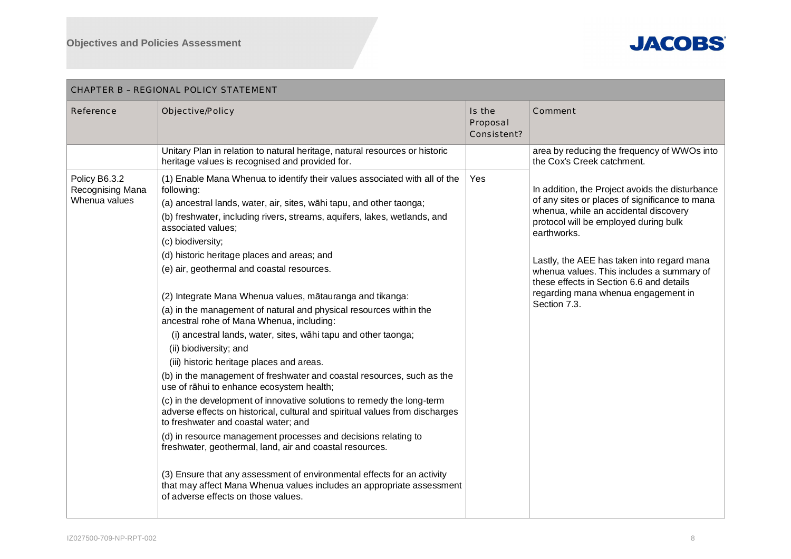

| CHAPTER B - REGIONAL POLICY STATEMENT              |                                                                                                                                                                                                                                                                                                                                                                                                                                                                                                                                                                                                                                                                                                                                                                                                                                                                                                                                                                                                                                                                                                                                                                                                                                                                                                                                                                  |                                   |                                                                                                                                                                                                                                                                                                                                                                                                  |  |
|----------------------------------------------------|------------------------------------------------------------------------------------------------------------------------------------------------------------------------------------------------------------------------------------------------------------------------------------------------------------------------------------------------------------------------------------------------------------------------------------------------------------------------------------------------------------------------------------------------------------------------------------------------------------------------------------------------------------------------------------------------------------------------------------------------------------------------------------------------------------------------------------------------------------------------------------------------------------------------------------------------------------------------------------------------------------------------------------------------------------------------------------------------------------------------------------------------------------------------------------------------------------------------------------------------------------------------------------------------------------------------------------------------------------------|-----------------------------------|--------------------------------------------------------------------------------------------------------------------------------------------------------------------------------------------------------------------------------------------------------------------------------------------------------------------------------------------------------------------------------------------------|--|
| Reference                                          | Objective/Policy                                                                                                                                                                                                                                                                                                                                                                                                                                                                                                                                                                                                                                                                                                                                                                                                                                                                                                                                                                                                                                                                                                                                                                                                                                                                                                                                                 | Is the<br>Proposal<br>Consistent? | Comment                                                                                                                                                                                                                                                                                                                                                                                          |  |
|                                                    | Unitary Plan in relation to natural heritage, natural resources or historic<br>heritage values is recognised and provided for.                                                                                                                                                                                                                                                                                                                                                                                                                                                                                                                                                                                                                                                                                                                                                                                                                                                                                                                                                                                                                                                                                                                                                                                                                                   |                                   | area by reducing the frequency of WWOs into<br>the Cox's Creek catchment.                                                                                                                                                                                                                                                                                                                        |  |
| Policy B6.3.2<br>Recognising Mana<br>Whenua values | (1) Enable Mana Whenua to identify their values associated with all of the<br>following:<br>(a) ancestral lands, water, air, sites, wāhi tapu, and other taonga;<br>(b) freshwater, including rivers, streams, aquifers, lakes, wetlands, and<br>associated values;<br>(c) biodiversity;<br>(d) historic heritage places and areas; and<br>(e) air, geothermal and coastal resources.<br>(2) Integrate Mana Whenua values, mātauranga and tikanga:<br>(a) in the management of natural and physical resources within the<br>ancestral rohe of Mana Whenua, including:<br>(i) ancestral lands, water, sites, wāhi tapu and other taonga;<br>(ii) biodiversity; and<br>(iii) historic heritage places and areas.<br>(b) in the management of freshwater and coastal resources, such as the<br>use of rāhui to enhance ecosystem health;<br>(c) in the development of innovative solutions to remedy the long-term<br>adverse effects on historical, cultural and spiritual values from discharges<br>to freshwater and coastal water; and<br>(d) in resource management processes and decisions relating to<br>freshwater, geothermal, land, air and coastal resources.<br>(3) Ensure that any assessment of environmental effects for an activity<br>that may affect Mana Whenua values includes an appropriate assessment<br>of adverse effects on those values. | Yes                               | In addition, the Project avoids the disturbance<br>of any sites or places of significance to mana<br>whenua, while an accidental discovery<br>protocol will be employed during bulk<br>earthworks.<br>Lastly, the AEE has taken into regard mana<br>whenua values. This includes a summary of<br>these effects in Section 6.6 and details<br>regarding mana whenua engagement in<br>Section 7.3. |  |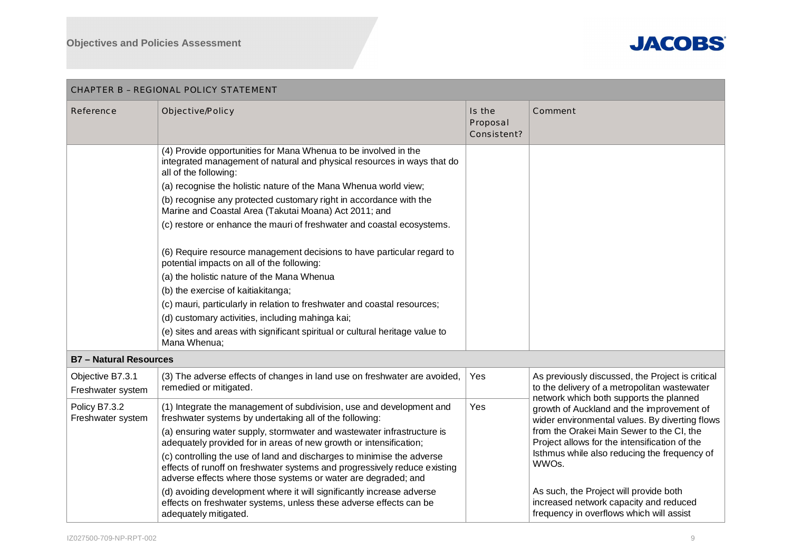

| CHAPTER B - REGIONAL POLICY STATEMENT |                                                                                                                                                                                                                                                                                                                                                                                                                                                                                                                                                                                                                                                                                                                                                                                                                                                                                              |                                   |                                                                                                                                                                                                                                                                                                                                                                                    |  |
|---------------------------------------|----------------------------------------------------------------------------------------------------------------------------------------------------------------------------------------------------------------------------------------------------------------------------------------------------------------------------------------------------------------------------------------------------------------------------------------------------------------------------------------------------------------------------------------------------------------------------------------------------------------------------------------------------------------------------------------------------------------------------------------------------------------------------------------------------------------------------------------------------------------------------------------------|-----------------------------------|------------------------------------------------------------------------------------------------------------------------------------------------------------------------------------------------------------------------------------------------------------------------------------------------------------------------------------------------------------------------------------|--|
| Reference                             | Objective/Policy                                                                                                                                                                                                                                                                                                                                                                                                                                                                                                                                                                                                                                                                                                                                                                                                                                                                             | Is the<br>Proposal<br>Consistent? | Comment                                                                                                                                                                                                                                                                                                                                                                            |  |
|                                       | (4) Provide opportunities for Mana Whenua to be involved in the<br>integrated management of natural and physical resources in ways that do<br>all of the following:<br>(a) recognise the holistic nature of the Mana Whenua world view;<br>(b) recognise any protected customary right in accordance with the<br>Marine and Coastal Area (Takutai Moana) Act 2011; and<br>(c) restore or enhance the mauri of freshwater and coastal ecosystems.<br>(6) Require resource management decisions to have particular regard to<br>potential impacts on all of the following:<br>(a) the holistic nature of the Mana Whenua<br>(b) the exercise of kaitiakitanga;<br>(c) mauri, particularly in relation to freshwater and coastal resources;<br>(d) customary activities, including mahinga kai;<br>(e) sites and areas with significant spiritual or cultural heritage value to<br>Mana Whenua; |                                   |                                                                                                                                                                                                                                                                                                                                                                                    |  |
| <b>B7 - Natural Resources</b>         |                                                                                                                                                                                                                                                                                                                                                                                                                                                                                                                                                                                                                                                                                                                                                                                                                                                                                              |                                   |                                                                                                                                                                                                                                                                                                                                                                                    |  |
| Objective B7.3.1<br>Freshwater system | (3) The adverse effects of changes in land use on freshwater are avoided,<br>remedied or mitigated.                                                                                                                                                                                                                                                                                                                                                                                                                                                                                                                                                                                                                                                                                                                                                                                          | Yes                               | As previously discussed, the Project is critical<br>to the delivery of a metropolitan wastewater<br>network which both supports the planned                                                                                                                                                                                                                                        |  |
| Policy B7.3.2<br>Freshwater system    | (1) Integrate the management of subdivision, use and development and<br>freshwater systems by undertaking all of the following:<br>(a) ensuring water supply, stormwater and wastewater infrastructure is<br>adequately provided for in areas of new growth or intensification;<br>(c) controlling the use of land and discharges to minimise the adverse<br>effects of runoff on freshwater systems and progressively reduce existing<br>adverse effects where those systems or water are degraded; and<br>(d) avoiding development where it will significantly increase adverse<br>effects on freshwater systems, unless these adverse effects can be<br>adequately mitigated.                                                                                                                                                                                                             | Yes                               | growth of Auckland and the improvement of<br>wider environmental values. By diverting flows<br>from the Orakei Main Sewer to the CI, the<br>Project allows for the intensification of the<br>Isthmus while also reducing the frequency of<br>WWOs.<br>As such, the Project will provide both<br>increased network capacity and reduced<br>frequency in overflows which will assist |  |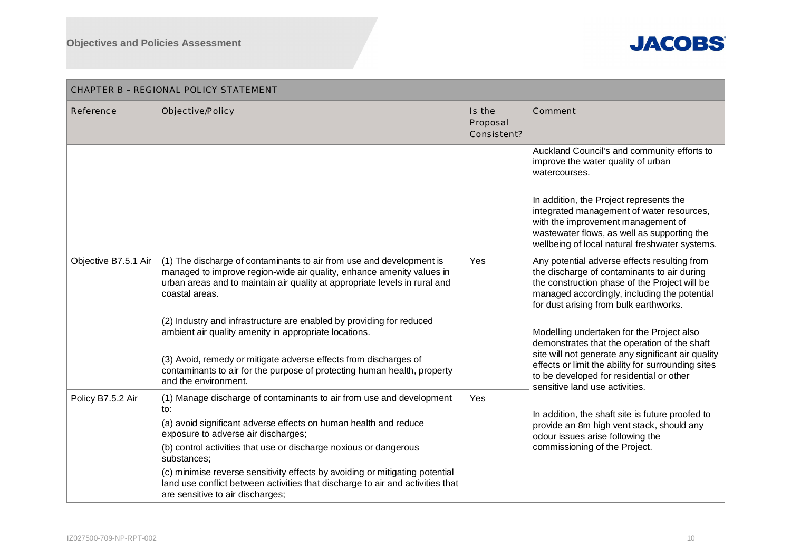

| CHAPTER B - REGIONAL POLICY STATEMENT |                                                                                                                                                                                                                                                                                                                                                                                                                                                                                                                                                        |                                   |                                                                                                                                                                                                                                                                                                                                                                                                                                                                                                                               |  |  |
|---------------------------------------|--------------------------------------------------------------------------------------------------------------------------------------------------------------------------------------------------------------------------------------------------------------------------------------------------------------------------------------------------------------------------------------------------------------------------------------------------------------------------------------------------------------------------------------------------------|-----------------------------------|-------------------------------------------------------------------------------------------------------------------------------------------------------------------------------------------------------------------------------------------------------------------------------------------------------------------------------------------------------------------------------------------------------------------------------------------------------------------------------------------------------------------------------|--|--|
| Reference                             | Objective/Policy                                                                                                                                                                                                                                                                                                                                                                                                                                                                                                                                       | Is the<br>Proposal<br>Consistent? | Comment                                                                                                                                                                                                                                                                                                                                                                                                                                                                                                                       |  |  |
|                                       |                                                                                                                                                                                                                                                                                                                                                                                                                                                                                                                                                        |                                   | Auckland Council's and community efforts to<br>improve the water quality of urban<br>watercourses.<br>In addition, the Project represents the<br>integrated management of water resources,<br>with the improvement management of<br>wastewater flows, as well as supporting the<br>wellbeing of local natural freshwater systems.                                                                                                                                                                                             |  |  |
| Objective B7.5.1 Air                  | (1) The discharge of contaminants to air from use and development is<br>managed to improve region-wide air quality, enhance amenity values in<br>urban areas and to maintain air quality at appropriate levels in rural and<br>coastal areas.<br>(2) Industry and infrastructure are enabled by providing for reduced<br>ambient air quality amenity in appropriate locations.<br>(3) Avoid, remedy or mitigate adverse effects from discharges of<br>contaminants to air for the purpose of protecting human health, property<br>and the environment. | Yes                               | Any potential adverse effects resulting from<br>the discharge of contaminants to air during<br>the construction phase of the Project will be<br>managed accordingly, including the potential<br>for dust arising from bulk earthworks.<br>Modelling undertaken for the Project also<br>demonstrates that the operation of the shaft<br>site will not generate any significant air quality<br>effects or limit the ability for surrounding sites<br>to be developed for residential or other<br>sensitive land use activities. |  |  |
| Policy B7.5.2 Air                     | (1) Manage discharge of contaminants to air from use and development<br>to:<br>(a) avoid significant adverse effects on human health and reduce<br>exposure to adverse air discharges;<br>(b) control activities that use or discharge noxious or dangerous<br>substances;<br>(c) minimise reverse sensitivity effects by avoiding or mitigating potential<br>land use conflict between activities that discharge to air and activities that<br>are sensitive to air discharges;                                                                       | Yes                               | In addition, the shaft site is future proofed to<br>provide an 8m high vent stack, should any<br>odour issues arise following the<br>commissioning of the Project.                                                                                                                                                                                                                                                                                                                                                            |  |  |

## IZ027500-709-NP-RPT-002 10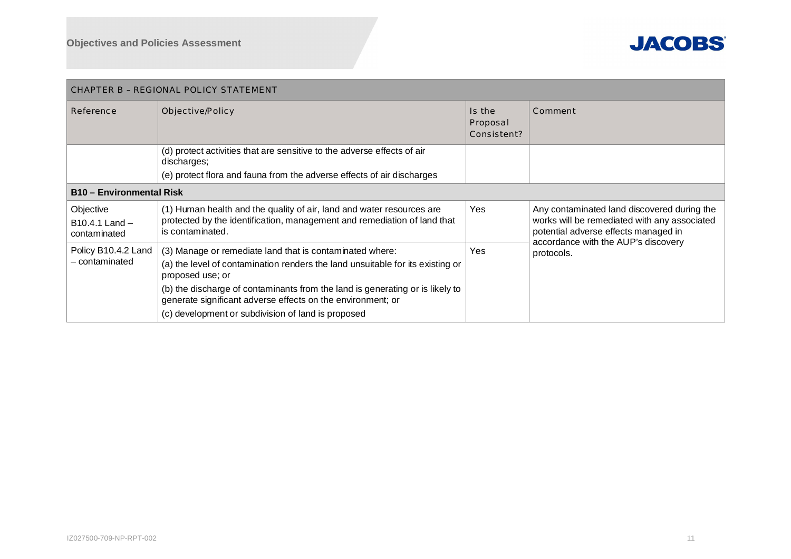

| CHAPTER B - REGIONAL POLICY STATEMENT       |                                                                                                                                                                                                                                                                                                                                                                      |                                   |                                                                                                                                                                                          |  |  |
|---------------------------------------------|----------------------------------------------------------------------------------------------------------------------------------------------------------------------------------------------------------------------------------------------------------------------------------------------------------------------------------------------------------------------|-----------------------------------|------------------------------------------------------------------------------------------------------------------------------------------------------------------------------------------|--|--|
| Reference                                   | Objective/Policy                                                                                                                                                                                                                                                                                                                                                     | Is the<br>Proposal<br>Consistent? | Comment                                                                                                                                                                                  |  |  |
|                                             | (d) protect activities that are sensitive to the adverse effects of air<br>discharges;<br>(e) protect flora and fauna from the adverse effects of air discharges                                                                                                                                                                                                     |                                   |                                                                                                                                                                                          |  |  |
| <b>B10 - Environmental Risk</b>             |                                                                                                                                                                                                                                                                                                                                                                      |                                   |                                                                                                                                                                                          |  |  |
| Objective<br>B10.4.1 Land -<br>contaminated | (1) Human health and the quality of air, land and water resources are<br>protected by the identification, management and remediation of land that<br>is contaminated.                                                                                                                                                                                                | Yes                               | Any contaminated land discovered during the<br>works will be remediated with any associated<br>potential adverse effects managed in<br>accordance with the AUP's discovery<br>protocols. |  |  |
| Policy B10.4.2 Land<br>- contaminated       | (3) Manage or remediate land that is contaminated where:<br>(a) the level of contamination renders the land unsuitable for its existing or<br>proposed use; or<br>(b) the discharge of contaminants from the land is generating or is likely to<br>generate significant adverse effects on the environment; or<br>(c) development or subdivision of land is proposed | <b>Yes</b>                        |                                                                                                                                                                                          |  |  |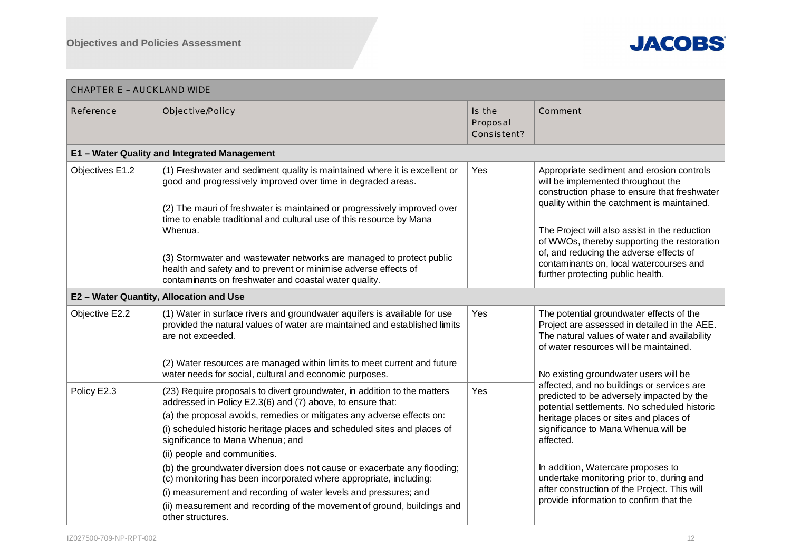

| <b>CHAPTER E - AUCKLAND WIDE</b> |                                                                                                                                                                                                                                                                                                                                                                                                                                                                                                               |                                   |                                                                                                                                                                                                                                                                                                                                                                                                           |
|----------------------------------|---------------------------------------------------------------------------------------------------------------------------------------------------------------------------------------------------------------------------------------------------------------------------------------------------------------------------------------------------------------------------------------------------------------------------------------------------------------------------------------------------------------|-----------------------------------|-----------------------------------------------------------------------------------------------------------------------------------------------------------------------------------------------------------------------------------------------------------------------------------------------------------------------------------------------------------------------------------------------------------|
| Reference                        | Objective/Policy                                                                                                                                                                                                                                                                                                                                                                                                                                                                                              | Is the<br>Proposal<br>Consistent? | Comment                                                                                                                                                                                                                                                                                                                                                                                                   |
|                                  | E1 - Water Quality and Integrated Management                                                                                                                                                                                                                                                                                                                                                                                                                                                                  |                                   |                                                                                                                                                                                                                                                                                                                                                                                                           |
| Objectives E1.2                  | (1) Freshwater and sediment quality is maintained where it is excellent or<br>good and progressively improved over time in degraded areas.<br>(2) The mauri of freshwater is maintained or progressively improved over<br>time to enable traditional and cultural use of this resource by Mana<br>Whenua.<br>(3) Stormwater and wastewater networks are managed to protect public<br>health and safety and to prevent or minimise adverse effects of<br>contaminants on freshwater and coastal water quality. | Yes                               | Appropriate sediment and erosion controls<br>will be implemented throughout the<br>construction phase to ensure that freshwater<br>quality within the catchment is maintained.<br>The Project will also assist in the reduction<br>of WWOs, thereby supporting the restoration<br>of, and reducing the adverse effects of<br>contaminants on, local watercourses and<br>further protecting public health. |
|                                  | E2 - Water Quantity, Allocation and Use                                                                                                                                                                                                                                                                                                                                                                                                                                                                       |                                   |                                                                                                                                                                                                                                                                                                                                                                                                           |
| Objective E2.2                   | (1) Water in surface rivers and groundwater aquifers is available for use<br>provided the natural values of water are maintained and established limits<br>are not exceeded.<br>(2) Water resources are managed within limits to meet current and future                                                                                                                                                                                                                                                      | Yes                               | The potential groundwater effects of the<br>Project are assessed in detailed in the AEE.<br>The natural values of water and availability<br>of water resources will be maintained.                                                                                                                                                                                                                        |
|                                  | water needs for social, cultural and economic purposes.                                                                                                                                                                                                                                                                                                                                                                                                                                                       |                                   | No existing groundwater users will be                                                                                                                                                                                                                                                                                                                                                                     |
| Policy E2.3                      | (23) Require proposals to divert groundwater, in addition to the matters<br>addressed in Policy E2.3(6) and (7) above, to ensure that:<br>(a) the proposal avoids, remedies or mitigates any adverse effects on:<br>(i) scheduled historic heritage places and scheduled sites and places of<br>significance to Mana Whenua; and<br>(ii) people and communities.<br>(b) the groundwater diversion does not cause or exacerbate any flooding;                                                                  | Yes                               | affected, and no buildings or services are<br>predicted to be adversely impacted by the<br>potential settlements. No scheduled historic<br>heritage places or sites and places of<br>significance to Mana Whenua will be<br>affected.<br>In addition, Watercare proposes to                                                                                                                               |
|                                  | (c) monitoring has been incorporated where appropriate, including:<br>(i) measurement and recording of water levels and pressures; and<br>(ii) measurement and recording of the movement of ground, buildings and<br>other structures.                                                                                                                                                                                                                                                                        |                                   | undertake monitoring prior to, during and<br>after construction of the Project. This will<br>provide information to confirm that the                                                                                                                                                                                                                                                                      |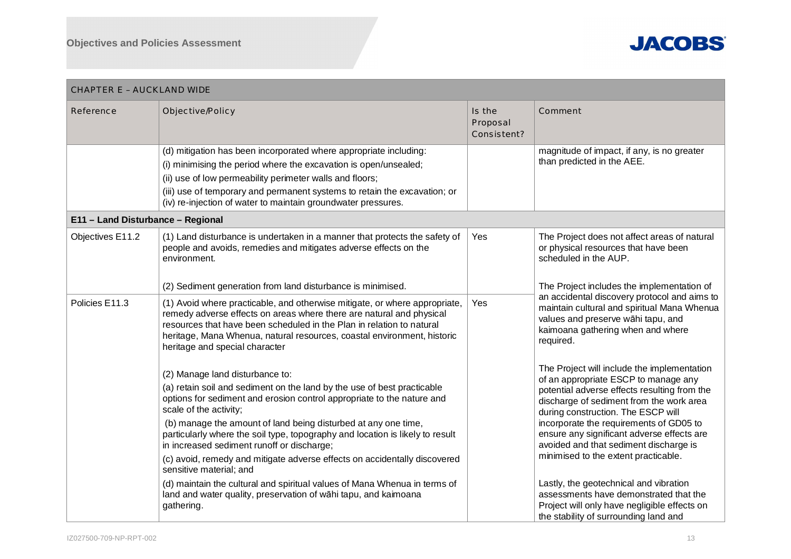

| <b>CHAPTER E - AUCKLAND WIDE</b>  |                                                                                                                                                                                                                                                                                                                                                                                                                                                                                                                                                                                                                                                                                       |                                   |                                                                                                                                                                                                                                                                                                                                                                                                                                                                                                                                                                               |  |  |
|-----------------------------------|---------------------------------------------------------------------------------------------------------------------------------------------------------------------------------------------------------------------------------------------------------------------------------------------------------------------------------------------------------------------------------------------------------------------------------------------------------------------------------------------------------------------------------------------------------------------------------------------------------------------------------------------------------------------------------------|-----------------------------------|-------------------------------------------------------------------------------------------------------------------------------------------------------------------------------------------------------------------------------------------------------------------------------------------------------------------------------------------------------------------------------------------------------------------------------------------------------------------------------------------------------------------------------------------------------------------------------|--|--|
| Reference                         | Objective/Policy                                                                                                                                                                                                                                                                                                                                                                                                                                                                                                                                                                                                                                                                      | Is the<br>Proposal<br>Consistent? | Comment                                                                                                                                                                                                                                                                                                                                                                                                                                                                                                                                                                       |  |  |
|                                   | (d) mitigation has been incorporated where appropriate including:<br>(i) minimising the period where the excavation is open/unsealed;<br>(ii) use of low permeability perimeter walls and floors;<br>(iii) use of temporary and permanent systems to retain the excavation; or<br>(iv) re-injection of water to maintain groundwater pressures.                                                                                                                                                                                                                                                                                                                                       |                                   | magnitude of impact, if any, is no greater<br>than predicted in the AEE.                                                                                                                                                                                                                                                                                                                                                                                                                                                                                                      |  |  |
| E11 - Land Disturbance - Regional |                                                                                                                                                                                                                                                                                                                                                                                                                                                                                                                                                                                                                                                                                       |                                   |                                                                                                                                                                                                                                                                                                                                                                                                                                                                                                                                                                               |  |  |
| Objectives E11.2                  | (1) Land disturbance is undertaken in a manner that protects the safety of<br>people and avoids, remedies and mitigates adverse effects on the<br>environment.                                                                                                                                                                                                                                                                                                                                                                                                                                                                                                                        | Yes                               | The Project does not affect areas of natural<br>or physical resources that have been<br>scheduled in the AUP.                                                                                                                                                                                                                                                                                                                                                                                                                                                                 |  |  |
|                                   | (2) Sediment generation from land disturbance is minimised.                                                                                                                                                                                                                                                                                                                                                                                                                                                                                                                                                                                                                           |                                   | The Project includes the implementation of                                                                                                                                                                                                                                                                                                                                                                                                                                                                                                                                    |  |  |
| Policies E11.3                    | (1) Avoid where practicable, and otherwise mitigate, or where appropriate,<br>remedy adverse effects on areas where there are natural and physical<br>resources that have been scheduled in the Plan in relation to natural<br>heritage, Mana Whenua, natural resources, coastal environment, historic<br>heritage and special character                                                                                                                                                                                                                                                                                                                                              | Yes                               | an accidental discovery protocol and aims to<br>maintain cultural and spiritual Mana Whenua<br>values and preserve wāhi tapu, and<br>kaimoana gathering when and where<br>required.                                                                                                                                                                                                                                                                                                                                                                                           |  |  |
|                                   | (2) Manage land disturbance to:<br>(a) retain soil and sediment on the land by the use of best practicable<br>options for sediment and erosion control appropriate to the nature and<br>scale of the activity;<br>(b) manage the amount of land being disturbed at any one time,<br>particularly where the soil type, topography and location is likely to result<br>in increased sediment runoff or discharge;<br>(c) avoid, remedy and mitigate adverse effects on accidentally discovered<br>sensitive material; and<br>(d) maintain the cultural and spiritual values of Mana Whenua in terms of<br>land and water quality, preservation of wāhi tapu, and kaimoana<br>gathering. |                                   | The Project will include the implementation<br>of an appropriate ESCP to manage any<br>potential adverse effects resulting from the<br>discharge of sediment from the work area<br>during construction. The ESCP will<br>incorporate the requirements of GD05 to<br>ensure any significant adverse effects are<br>avoided and that sediment discharge is<br>minimised to the extent practicable.<br>Lastly, the geotechnical and vibration<br>assessments have demonstrated that the<br>Project will only have negligible effects on<br>the stability of surrounding land and |  |  |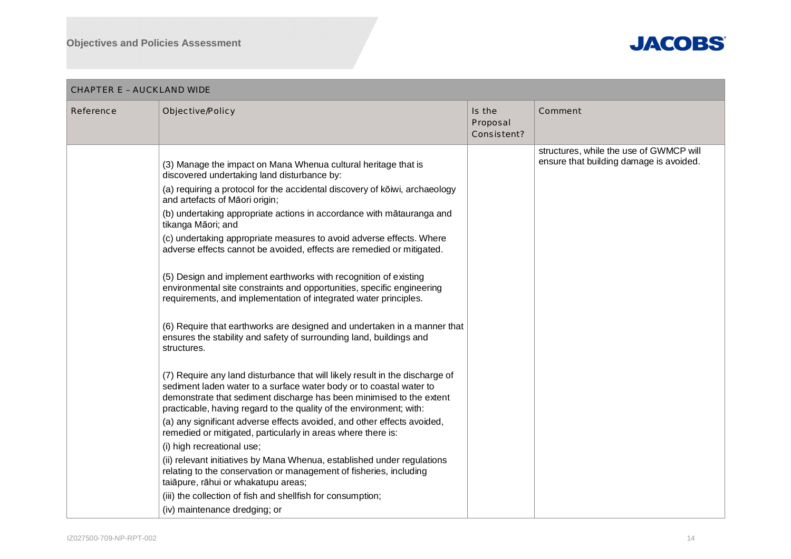

| CHAPTER E – AUCKLAND WIDE |                                                                                                                                                                                                                                                                                                    |                                   |                                         |  |  |
|---------------------------|----------------------------------------------------------------------------------------------------------------------------------------------------------------------------------------------------------------------------------------------------------------------------------------------------|-----------------------------------|-----------------------------------------|--|--|
| Reference                 | Objective/Policy                                                                                                                                                                                                                                                                                   | Is the<br>Proposal<br>Consistent? | Comment                                 |  |  |
|                           |                                                                                                                                                                                                                                                                                                    |                                   | structures, while the use of GWMCP will |  |  |
|                           | (3) Manage the impact on Mana Whenua cultural heritage that is<br>discovered undertaking land disturbance by:                                                                                                                                                                                      |                                   | ensure that building damage is avoided. |  |  |
|                           | (a) requiring a protocol for the accidental discovery of kōiwi, archaeology<br>and artefacts of Māori origin;                                                                                                                                                                                      |                                   |                                         |  |  |
|                           | (b) undertaking appropriate actions in accordance with mātauranga and<br>tikanga Māori; and                                                                                                                                                                                                        |                                   |                                         |  |  |
|                           | (c) undertaking appropriate measures to avoid adverse effects. Where<br>adverse effects cannot be avoided, effects are remedied or mitigated.                                                                                                                                                      |                                   |                                         |  |  |
|                           | (5) Design and implement earthworks with recognition of existing<br>environmental site constraints and opportunities, specific engineering<br>requirements, and implementation of integrated water principles.                                                                                     |                                   |                                         |  |  |
|                           | (6) Require that earthworks are designed and undertaken in a manner that<br>ensures the stability and safety of surrounding land, buildings and<br>structures.                                                                                                                                     |                                   |                                         |  |  |
|                           | (7) Require any land disturbance that will likely result in the discharge of<br>sediment laden water to a surface water body or to coastal water to<br>demonstrate that sediment discharge has been minimised to the extent<br>practicable, having regard to the quality of the environment; with: |                                   |                                         |  |  |
|                           | (a) any significant adverse effects avoided, and other effects avoided,<br>remedied or mitigated, particularly in areas where there is:                                                                                                                                                            |                                   |                                         |  |  |
|                           | (i) high recreational use;                                                                                                                                                                                                                                                                         |                                   |                                         |  |  |
|                           | (ii) relevant initiatives by Mana Whenua, established under regulations<br>relating to the conservation or management of fisheries, including<br>taiāpure, rāhui or whakatupu areas;                                                                                                               |                                   |                                         |  |  |
|                           | (iii) the collection of fish and shellfish for consumption;                                                                                                                                                                                                                                        |                                   |                                         |  |  |
|                           | (iv) maintenance dredging; or                                                                                                                                                                                                                                                                      |                                   |                                         |  |  |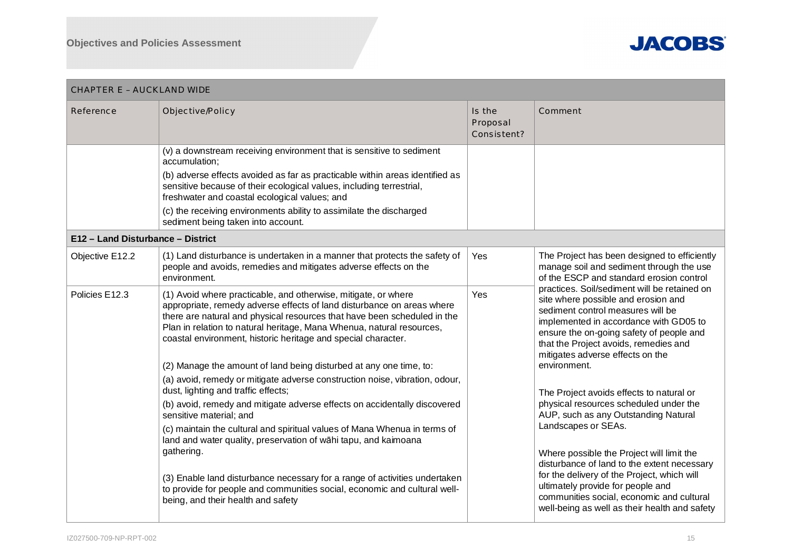

| <b>CHAPTER E - AUCKLAND WIDE</b>                                                                                                                                                                                            |                                                                                                                                                                                                                                                                                                                                                                                                                                      |                                                                                                          |                                                                                                                                                                                                                                                                                                             |  |  |
|-----------------------------------------------------------------------------------------------------------------------------------------------------------------------------------------------------------------------------|--------------------------------------------------------------------------------------------------------------------------------------------------------------------------------------------------------------------------------------------------------------------------------------------------------------------------------------------------------------------------------------------------------------------------------------|----------------------------------------------------------------------------------------------------------|-------------------------------------------------------------------------------------------------------------------------------------------------------------------------------------------------------------------------------------------------------------------------------------------------------------|--|--|
| Reference                                                                                                                                                                                                                   | Objective/Policy                                                                                                                                                                                                                                                                                                                                                                                                                     | Is the<br>Proposal<br>Consistent?                                                                        | Comment                                                                                                                                                                                                                                                                                                     |  |  |
|                                                                                                                                                                                                                             | (v) a downstream receiving environment that is sensitive to sediment<br>accumulation;<br>(b) adverse effects avoided as far as practicable within areas identified as<br>sensitive because of their ecological values, including terrestrial,<br>freshwater and coastal ecological values; and<br>(c) the receiving environments ability to assimilate the discharged<br>sediment being taken into account.                          |                                                                                                          |                                                                                                                                                                                                                                                                                                             |  |  |
| E12 - Land Disturbance - District                                                                                                                                                                                           |                                                                                                                                                                                                                                                                                                                                                                                                                                      |                                                                                                          |                                                                                                                                                                                                                                                                                                             |  |  |
| Objective E12.2                                                                                                                                                                                                             | (1) Land disturbance is undertaken in a manner that protects the safety of<br>people and avoids, remedies and mitigates adverse effects on the<br>environment.                                                                                                                                                                                                                                                                       | Yes                                                                                                      | The Project has been designed to efficiently<br>manage soil and sediment through the use<br>of the ESCP and standard erosion control                                                                                                                                                                        |  |  |
| Policies E12.3                                                                                                                                                                                                              | (1) Avoid where practicable, and otherwise, mitigate, or where<br>appropriate, remedy adverse effects of land disturbance on areas where<br>there are natural and physical resources that have been scheduled in the<br>Plan in relation to natural heritage, Mana Whenua, natural resources,<br>coastal environment, historic heritage and special character.<br>(2) Manage the amount of land being disturbed at any one time, to: | Yes                                                                                                      | practices. Soil/sediment will be retained on<br>site where possible and erosion and<br>sediment control measures will be<br>implemented in accordance with GD05 to<br>ensure the on-going safety of people and<br>that the Project avoids, remedies and<br>mitigates adverse effects on the<br>environment. |  |  |
|                                                                                                                                                                                                                             | (a) avoid, remedy or mitigate adverse construction noise, vibration, odour,<br>dust, lighting and traffic effects;<br>(b) avoid, remedy and mitigate adverse effects on accidentally discovered                                                                                                                                                                                                                                      |                                                                                                          | The Project avoids effects to natural or<br>physical resources scheduled under the                                                                                                                                                                                                                          |  |  |
| sensitive material; and<br>(c) maintain the cultural and spiritual values of Mana Whenua in terms of<br>land and water quality, preservation of wāhi tapu, and kaimoana<br>gathering.<br>being, and their health and safety |                                                                                                                                                                                                                                                                                                                                                                                                                                      | AUP, such as any Outstanding Natural<br>Landscapes or SEAs.<br>Where possible the Project will limit the |                                                                                                                                                                                                                                                                                                             |  |  |
|                                                                                                                                                                                                                             | (3) Enable land disturbance necessary for a range of activities undertaken<br>to provide for people and communities social, economic and cultural well-                                                                                                                                                                                                                                                                              |                                                                                                          | disturbance of land to the extent necessary<br>for the delivery of the Project, which will<br>ultimately provide for people and<br>communities social, economic and cultural<br>well-being as well as their health and safety                                                                               |  |  |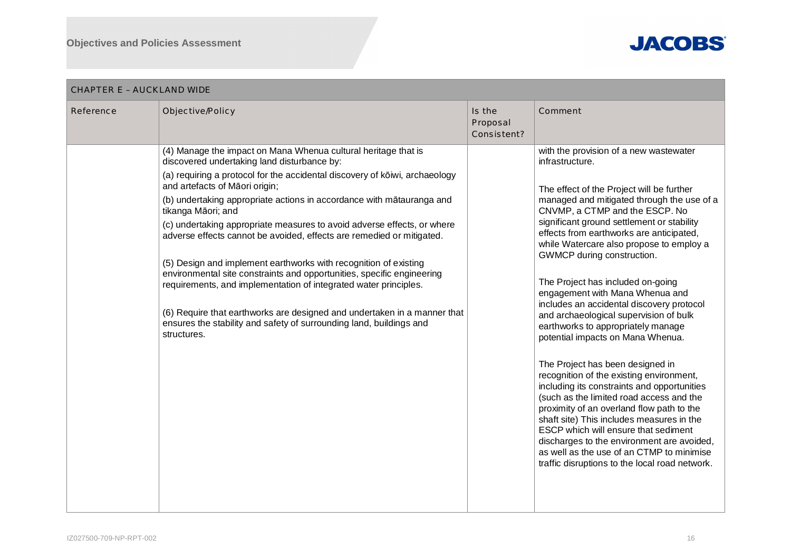

| Is the<br>Reference<br>Objective/Policy<br>Comment<br>Proposal<br>Consistent?<br>(4) Manage the impact on Mana Whenua cultural heritage that is<br>with the provision of a new wastewater<br>discovered undertaking land disturbance by:<br>infrastructure.<br>(a) requiring a protocol for the accidental discovery of kōiwi, archaeology<br>and artefacts of Māori origin;<br>The effect of the Project will be further<br>(b) undertaking appropriate actions in accordance with mātauranga and<br>managed and mitigated through the use of a<br>CNVMP, a CTMP and the ESCP. No<br>tikanga Māori; and<br>significant ground settlement or stability<br>(c) undertaking appropriate measures to avoid adverse effects, or where<br>effects from earthworks are anticipated,<br>adverse effects cannot be avoided, effects are remedied or mitigated.<br>while Watercare also propose to employ a<br>GWMCP during construction.<br>(5) Design and implement earthworks with recognition of existing<br>environmental site constraints and opportunities, specific engineering<br>The Project has included on-going<br>requirements, and implementation of integrated water principles.<br>engagement with Mana Whenua and<br>includes an accidental discovery protocol<br>(6) Require that earthworks are designed and undertaken in a manner that<br>and archaeological supervision of bulk<br>ensures the stability and safety of surrounding land, buildings and<br>earthworks to appropriately manage<br>structures.<br>potential impacts on Mana Whenua.<br>The Project has been designed in<br>recognition of the existing environment,<br>including its constraints and opportunities<br>(such as the limited road access and the<br>proximity of an overland flow path to the<br>shaft site) This includes measures in the<br>ESCP which will ensure that sediment<br>discharges to the environment are avoided,<br>as well as the use of an CTMP to minimise<br>traffic disruptions to the local road network. | CHAPTER E – AUCKLAND WIDE |  |  |  |  |  |
|--------------------------------------------------------------------------------------------------------------------------------------------------------------------------------------------------------------------------------------------------------------------------------------------------------------------------------------------------------------------------------------------------------------------------------------------------------------------------------------------------------------------------------------------------------------------------------------------------------------------------------------------------------------------------------------------------------------------------------------------------------------------------------------------------------------------------------------------------------------------------------------------------------------------------------------------------------------------------------------------------------------------------------------------------------------------------------------------------------------------------------------------------------------------------------------------------------------------------------------------------------------------------------------------------------------------------------------------------------------------------------------------------------------------------------------------------------------------------------------------------------------------------------------------------------------------------------------------------------------------------------------------------------------------------------------------------------------------------------------------------------------------------------------------------------------------------------------------------------------------------------------------------------------------------------------------------------------------------------------------------------------------------|---------------------------|--|--|--|--|--|
|                                                                                                                                                                                                                                                                                                                                                                                                                                                                                                                                                                                                                                                                                                                                                                                                                                                                                                                                                                                                                                                                                                                                                                                                                                                                                                                                                                                                                                                                                                                                                                                                                                                                                                                                                                                                                                                                                                                                                                                                                          |                           |  |  |  |  |  |
|                                                                                                                                                                                                                                                                                                                                                                                                                                                                                                                                                                                                                                                                                                                                                                                                                                                                                                                                                                                                                                                                                                                                                                                                                                                                                                                                                                                                                                                                                                                                                                                                                                                                                                                                                                                                                                                                                                                                                                                                                          |                           |  |  |  |  |  |

#### IZ027500-709-NP-RPT-002 2002 2003 16 2004 2004 2004 2005 2006 2007 2008 2009 2009 2009 2009 2009 2004 2007 200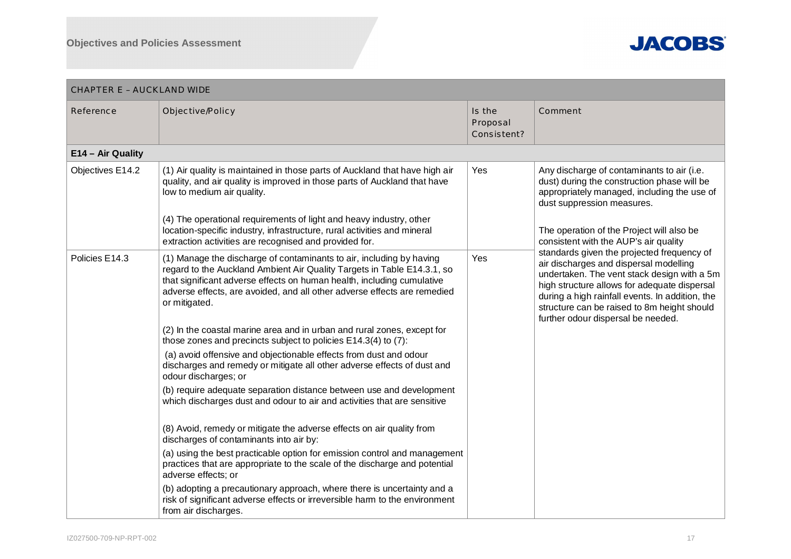

| <b>CHAPTER E - AUCKLAND WIDE</b> |                                                                                                                                                                                                                                                                                                                                                                                                                                                                                                                                                                                                                                                                                                                                                                                                                                                                                                                                                                                                                                                                                                                                                                                                                                                                                         |                                   |                                                                                                                                                                                                                                                                                                                             |  |  |
|----------------------------------|-----------------------------------------------------------------------------------------------------------------------------------------------------------------------------------------------------------------------------------------------------------------------------------------------------------------------------------------------------------------------------------------------------------------------------------------------------------------------------------------------------------------------------------------------------------------------------------------------------------------------------------------------------------------------------------------------------------------------------------------------------------------------------------------------------------------------------------------------------------------------------------------------------------------------------------------------------------------------------------------------------------------------------------------------------------------------------------------------------------------------------------------------------------------------------------------------------------------------------------------------------------------------------------------|-----------------------------------|-----------------------------------------------------------------------------------------------------------------------------------------------------------------------------------------------------------------------------------------------------------------------------------------------------------------------------|--|--|
| Reference                        | Objective/Policy                                                                                                                                                                                                                                                                                                                                                                                                                                                                                                                                                                                                                                                                                                                                                                                                                                                                                                                                                                                                                                                                                                                                                                                                                                                                        | Is the<br>Proposal<br>Consistent? | Comment                                                                                                                                                                                                                                                                                                                     |  |  |
| E14 - Air Quality                |                                                                                                                                                                                                                                                                                                                                                                                                                                                                                                                                                                                                                                                                                                                                                                                                                                                                                                                                                                                                                                                                                                                                                                                                                                                                                         |                                   |                                                                                                                                                                                                                                                                                                                             |  |  |
| Objectives E14.2                 | (1) Air quality is maintained in those parts of Auckland that have high air<br>quality, and air quality is improved in those parts of Auckland that have<br>low to medium air quality.<br>(4) The operational requirements of light and heavy industry, other<br>location-specific industry, infrastructure, rural activities and mineral<br>extraction activities are recognised and provided for.                                                                                                                                                                                                                                                                                                                                                                                                                                                                                                                                                                                                                                                                                                                                                                                                                                                                                     | Yes                               | Any discharge of contaminants to air (i.e.<br>dust) during the construction phase will be<br>appropriately managed, including the use of<br>dust suppression measures.<br>The operation of the Project will also be<br>consistent with the AUP's air quality                                                                |  |  |
| Policies E14.3                   | (1) Manage the discharge of contaminants to air, including by having<br>regard to the Auckland Ambient Air Quality Targets in Table E14.3.1, so<br>that significant adverse effects on human health, including cumulative<br>adverse effects, are avoided, and all other adverse effects are remedied<br>or mitigated.<br>(2) In the coastal marine area and in urban and rural zones, except for<br>those zones and precincts subject to policies E14.3(4) to (7):<br>(a) avoid offensive and objectionable effects from dust and odour<br>discharges and remedy or mitigate all other adverse effects of dust and<br>odour discharges; or<br>(b) require adequate separation distance between use and development<br>which discharges dust and odour to air and activities that are sensitive<br>(8) Avoid, remedy or mitigate the adverse effects on air quality from<br>discharges of contaminants into air by:<br>(a) using the best practicable option for emission control and management<br>practices that are appropriate to the scale of the discharge and potential<br>adverse effects; or<br>(b) adopting a precautionary approach, where there is uncertainty and a<br>risk of significant adverse effects or irreversible harm to the environment<br>from air discharges. | Yes                               | standards given the projected frequency of<br>air discharges and dispersal modelling<br>undertaken. The vent stack design with a 5m<br>high structure allows for adequate dispersal<br>during a high rainfall events. In addition, the<br>structure can be raised to 8m height should<br>further odour dispersal be needed. |  |  |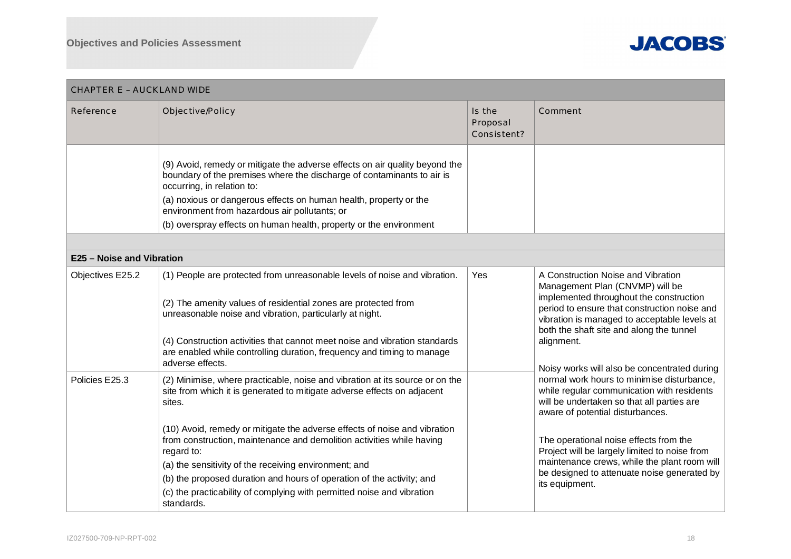

| <b>CHAPTER E - AUCKLAND WIDE</b> |                                                                                                                                                                                                                                                                                                                                                                                            |                                   |                                                                                                                                                                                                                                                                                                                                                                                                                                                                                                          |
|----------------------------------|--------------------------------------------------------------------------------------------------------------------------------------------------------------------------------------------------------------------------------------------------------------------------------------------------------------------------------------------------------------------------------------------|-----------------------------------|----------------------------------------------------------------------------------------------------------------------------------------------------------------------------------------------------------------------------------------------------------------------------------------------------------------------------------------------------------------------------------------------------------------------------------------------------------------------------------------------------------|
| Reference                        | Objective/Policy                                                                                                                                                                                                                                                                                                                                                                           | Is the<br>Proposal<br>Consistent? | Comment                                                                                                                                                                                                                                                                                                                                                                                                                                                                                                  |
|                                  | (9) Avoid, remedy or mitigate the adverse effects on air quality beyond the<br>boundary of the premises where the discharge of contaminants to air is<br>occurring, in relation to:<br>(a) noxious or dangerous effects on human health, property or the<br>environment from hazardous air pollutants; or<br>(b) overspray effects on human health, property or the environment            |                                   |                                                                                                                                                                                                                                                                                                                                                                                                                                                                                                          |
|                                  |                                                                                                                                                                                                                                                                                                                                                                                            |                                   |                                                                                                                                                                                                                                                                                                                                                                                                                                                                                                          |
| E25 - Noise and Vibration        |                                                                                                                                                                                                                                                                                                                                                                                            |                                   |                                                                                                                                                                                                                                                                                                                                                                                                                                                                                                          |
| Objectives E25.2                 | (1) People are protected from unreasonable levels of noise and vibration.<br>(2) The amenity values of residential zones are protected from<br>unreasonable noise and vibration, particularly at night.<br>(4) Construction activities that cannot meet noise and vibration standards<br>are enabled while controlling duration, frequency and timing to manage<br>adverse effects.        | Yes                               | A Construction Noise and Vibration<br>Management Plan (CNVMP) will be<br>implemented throughout the construction<br>period to ensure that construction noise and<br>vibration is managed to acceptable levels at<br>both the shaft site and along the tunnel<br>alignment.<br>Noisy works will also be concentrated during<br>normal work hours to minimise disturbance,<br>while regular communication with residents<br>will be undertaken so that all parties are<br>aware of potential disturbances. |
| Policies E25.3                   | (2) Minimise, where practicable, noise and vibration at its source or on the<br>site from which it is generated to mitigate adverse effects on adjacent<br>sites.                                                                                                                                                                                                                          |                                   |                                                                                                                                                                                                                                                                                                                                                                                                                                                                                                          |
|                                  | (10) Avoid, remedy or mitigate the adverse effects of noise and vibration<br>from construction, maintenance and demolition activities while having<br>regard to:<br>(a) the sensitivity of the receiving environment; and<br>(b) the proposed duration and hours of operation of the activity; and<br>(c) the practicability of complying with permitted noise and vibration<br>standards. |                                   | The operational noise effects from the<br>Project will be largely limited to noise from<br>maintenance crews, while the plant room will<br>be designed to attenuate noise generated by<br>its equipment.                                                                                                                                                                                                                                                                                                 |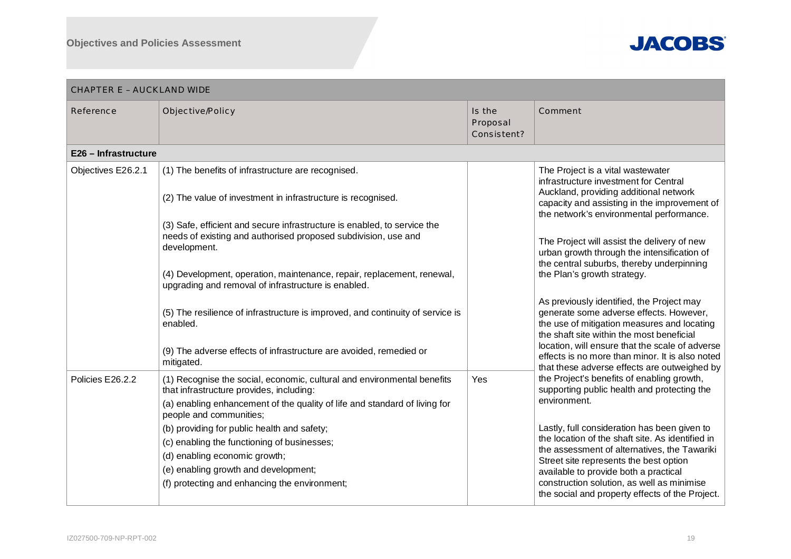

| <b>CHAPTER E - AUCKLAND WIDE</b> |                                                                                                                                                                                                                              |                                   |                                                                                                                                                                                                                                                                                                                                      |  |  |
|----------------------------------|------------------------------------------------------------------------------------------------------------------------------------------------------------------------------------------------------------------------------|-----------------------------------|--------------------------------------------------------------------------------------------------------------------------------------------------------------------------------------------------------------------------------------------------------------------------------------------------------------------------------------|--|--|
| Reference                        | Objective/Policy                                                                                                                                                                                                             | Is the<br>Proposal<br>Consistent? | Comment                                                                                                                                                                                                                                                                                                                              |  |  |
| E26 - Infrastructure             |                                                                                                                                                                                                                              |                                   |                                                                                                                                                                                                                                                                                                                                      |  |  |
| Objectives E26.2.1               | (1) The benefits of infrastructure are recognised.                                                                                                                                                                           |                                   | The Project is a vital wastewater<br>infrastructure investment for Central                                                                                                                                                                                                                                                           |  |  |
|                                  | (2) The value of investment in infrastructure is recognised.                                                                                                                                                                 |                                   | Auckland, providing additional network<br>capacity and assisting in the improvement of<br>the network's environmental performance.                                                                                                                                                                                                   |  |  |
|                                  | (3) Safe, efficient and secure infrastructure is enabled, to service the<br>needs of existing and authorised proposed subdivision, use and<br>development.                                                                   |                                   | The Project will assist the delivery of new<br>urban growth through the intensification of                                                                                                                                                                                                                                           |  |  |
|                                  | (4) Development, operation, maintenance, repair, replacement, renewal,<br>upgrading and removal of infrastructure is enabled.                                                                                                |                                   | the central suburbs, thereby underpinning<br>the Plan's growth strategy.                                                                                                                                                                                                                                                             |  |  |
|                                  | (5) The resilience of infrastructure is improved, and continuity of service is<br>enabled.                                                                                                                                   |                                   | As previously identified, the Project may<br>generate some adverse effects. However,<br>the use of mitigation measures and locating<br>the shaft site within the most beneficial                                                                                                                                                     |  |  |
|                                  | (9) The adverse effects of infrastructure are avoided, remedied or<br>mitigated.                                                                                                                                             |                                   | location, will ensure that the scale of adverse<br>effects is no more than minor. It is also noted<br>that these adverse effects are outweighed by<br>the Project's benefits of enabling growth,<br>supporting public health and protecting the<br>environment.                                                                      |  |  |
| Policies E26.2.2                 | (1) Recognise the social, economic, cultural and environmental benefits<br>that infrastructure provides, including:<br>(a) enabling enhancement of the quality of life and standard of living for<br>people and communities; | Yes                               |                                                                                                                                                                                                                                                                                                                                      |  |  |
|                                  | (b) providing for public health and safety;<br>(c) enabling the functioning of businesses;<br>(d) enabling economic growth;<br>(e) enabling growth and development;<br>(f) protecting and enhancing the environment;         |                                   | Lastly, full consideration has been given to<br>the location of the shaft site. As identified in<br>the assessment of alternatives, the Tawariki<br>Street site represents the best option<br>available to provide both a practical<br>construction solution, as well as minimise<br>the social and property effects of the Project. |  |  |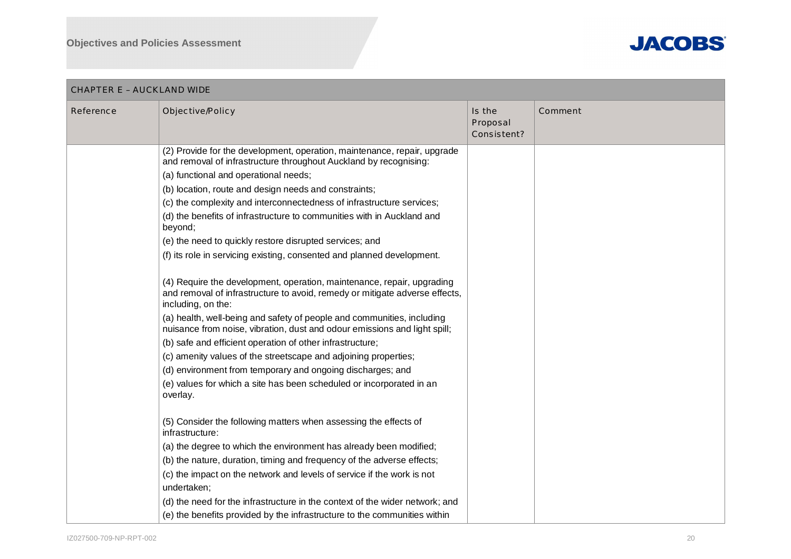

| CHAPTER E – AUCKLAND WIDE |                                                                                                                                                                                                                                                                                                                                                                                                                                                                                                                                                                                                                                                                                                                                                                                                                                                                                                                                                                                                                                                                                                                                                                                                                                                                                                                                                                                                                                                                                                                                                                                                                                                                         |                                   |         |  |
|---------------------------|-------------------------------------------------------------------------------------------------------------------------------------------------------------------------------------------------------------------------------------------------------------------------------------------------------------------------------------------------------------------------------------------------------------------------------------------------------------------------------------------------------------------------------------------------------------------------------------------------------------------------------------------------------------------------------------------------------------------------------------------------------------------------------------------------------------------------------------------------------------------------------------------------------------------------------------------------------------------------------------------------------------------------------------------------------------------------------------------------------------------------------------------------------------------------------------------------------------------------------------------------------------------------------------------------------------------------------------------------------------------------------------------------------------------------------------------------------------------------------------------------------------------------------------------------------------------------------------------------------------------------------------------------------------------------|-----------------------------------|---------|--|
| Reference                 | Objective/Policy                                                                                                                                                                                                                                                                                                                                                                                                                                                                                                                                                                                                                                                                                                                                                                                                                                                                                                                                                                                                                                                                                                                                                                                                                                                                                                                                                                                                                                                                                                                                                                                                                                                        | Is the<br>Proposal<br>Consistent? | Comment |  |
|                           | (2) Provide for the development, operation, maintenance, repair, upgrade<br>and removal of infrastructure throughout Auckland by recognising:<br>(a) functional and operational needs;<br>(b) location, route and design needs and constraints;<br>(c) the complexity and interconnectedness of infrastructure services;<br>(d) the benefits of infrastructure to communities with in Auckland and<br>beyond;<br>(e) the need to quickly restore disrupted services; and<br>(f) its role in servicing existing, consented and planned development.<br>(4) Require the development, operation, maintenance, repair, upgrading<br>and removal of infrastructure to avoid, remedy or mitigate adverse effects,<br>including, on the:<br>(a) health, well-being and safety of people and communities, including<br>nuisance from noise, vibration, dust and odour emissions and light spill;<br>(b) safe and efficient operation of other infrastructure;<br>(c) amenity values of the streetscape and adjoining properties;<br>(d) environment from temporary and ongoing discharges; and<br>(e) values for which a site has been scheduled or incorporated in an<br>overlay.<br>(5) Consider the following matters when assessing the effects of<br>infrastructure:<br>(a) the degree to which the environment has already been modified;<br>(b) the nature, duration, timing and frequency of the adverse effects;<br>(c) the impact on the network and levels of service if the work is not<br>undertaken;<br>(d) the need for the infrastructure in the context of the wider network; and<br>(e) the benefits provided by the infrastructure to the communities within |                                   |         |  |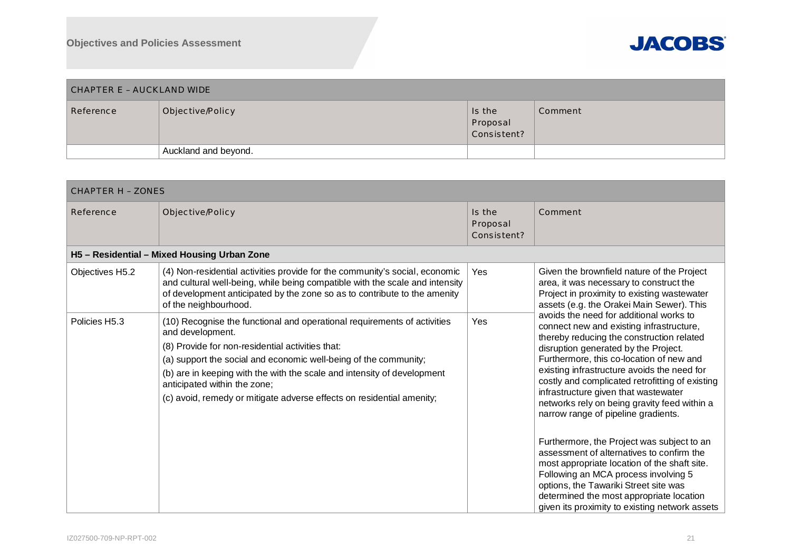

| CHAPTER E – AUCKLAND WIDE |                      |                                   |         |  |
|---------------------------|----------------------|-----------------------------------|---------|--|
| Reference                 | Objective/Policy     | Is the<br>Proposal<br>Consistent? | Comment |  |
|                           | Auckland and beyond. |                                   |         |  |

| <b>CHAPTER H - ZONES</b> |                                                                                                                                                                                                                                                                                                                                                                                                          |                                   |                                                                                                                                                                                                                                                                                                                                                                                                                                                                                                                                                                                                                                                                                                                                                                                 |  |  |
|--------------------------|----------------------------------------------------------------------------------------------------------------------------------------------------------------------------------------------------------------------------------------------------------------------------------------------------------------------------------------------------------------------------------------------------------|-----------------------------------|---------------------------------------------------------------------------------------------------------------------------------------------------------------------------------------------------------------------------------------------------------------------------------------------------------------------------------------------------------------------------------------------------------------------------------------------------------------------------------------------------------------------------------------------------------------------------------------------------------------------------------------------------------------------------------------------------------------------------------------------------------------------------------|--|--|
| Reference                | Objective/Policy                                                                                                                                                                                                                                                                                                                                                                                         | Is the<br>Proposal<br>Consistent? | Comment                                                                                                                                                                                                                                                                                                                                                                                                                                                                                                                                                                                                                                                                                                                                                                         |  |  |
|                          | H5 - Residential - Mixed Housing Urban Zone                                                                                                                                                                                                                                                                                                                                                              |                                   |                                                                                                                                                                                                                                                                                                                                                                                                                                                                                                                                                                                                                                                                                                                                                                                 |  |  |
| Objectives H5.2          | (4) Non-residential activities provide for the community's social, economic<br>and cultural well-being, while being compatible with the scale and intensity<br>of development anticipated by the zone so as to contribute to the amenity<br>of the neighbourhood.                                                                                                                                        | Yes                               | Given the brownfield nature of the Project<br>area, it was necessary to construct the<br>Project in proximity to existing wastewater<br>assets (e.g. the Orakei Main Sewer). This                                                                                                                                                                                                                                                                                                                                                                                                                                                                                                                                                                                               |  |  |
| Policies H5.3            | (10) Recognise the functional and operational requirements of activities<br>and development.<br>(8) Provide for non-residential activities that:<br>(a) support the social and economic well-being of the community;<br>(b) are in keeping with the with the scale and intensity of development<br>anticipated within the zone;<br>(c) avoid, remedy or mitigate adverse effects on residential amenity; | Yes                               | avoids the need for additional works to<br>connect new and existing infrastructure,<br>thereby reducing the construction related<br>disruption generated by the Project.<br>Furthermore, this co-location of new and<br>existing infrastructure avoids the need for<br>costly and complicated retrofitting of existing<br>infrastructure given that wastewater<br>networks rely on being gravity feed within a<br>narrow range of pipeline gradients.<br>Furthermore, the Project was subject to an<br>assessment of alternatives to confirm the<br>most appropriate location of the shaft site.<br>Following an MCA process involving 5<br>options, the Tawariki Street site was<br>determined the most appropriate location<br>given its proximity to existing network assets |  |  |